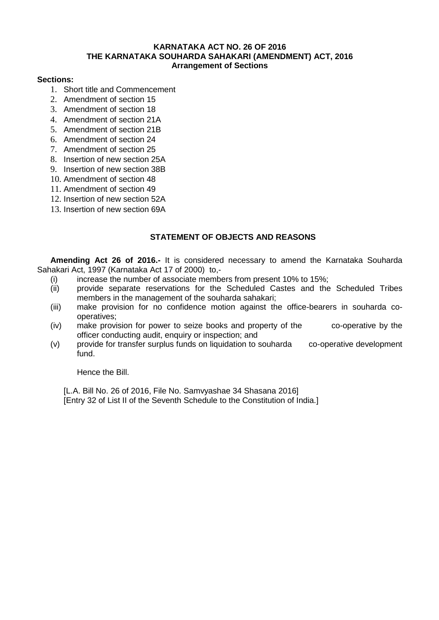### **KARNATAKA ACT NO. 26 OF 2016 THE KARNATAKA SOUHARDA SAHAKARI (AMENDMENT) ACT, 2016 Arrangement of Sections**

### **Sections:**

- 1. Short title and Commencement
- 2. Amendment of section 15
- 3. Amendment of section 18
- 4. Amendment of section 21A
- 5. Amendment of section 21B
- 6. Amendment of section 24
- 7. Amendment of section 25
- 8. Insertion of new section 25A
- 9. Insertion of new section 38B
- 10. Amendment of section 48
- 11. Amendment of section 49
- 12. Insertion of new section 52A
- 13. Insertion of new section 69A

# **STATEMENT OF OBJECTS AND REASONS**

**Amending Act 26 of 2016.-** It is considered necessary to amend the Karnataka Souharda Sahakari Act, 1997 (Karnataka Act 17 of 2000) to,-

- 
- (i) increase the number of associate members from present 10% to 15%;<br>(ii) provide separate reservations for the Scheduled Castes and the provide separate reservations for the Scheduled Castes and the Scheduled Tribes members in the management of the souharda sahakari;
- (iii) make provision for no confidence motion against the office-bearers in souharda cooperatives;
- (iv) make provision for power to seize books and property of the co-operative by the officer conducting audit, enquiry or inspection; and
- (v) provide for transfer surplus funds on liquidation to souharda co-operative development fund.

Hence the Bill.

[L.A. Bill No. 26 of 2016, File No. Samvyashae 34 Shasana 2016] [Entry 32 of List II of the Seventh Schedule to the Constitution of India.]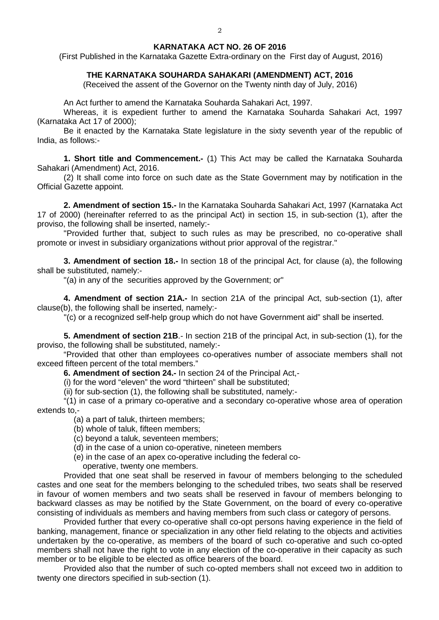#### **KARNATAKA ACT NO. 26 OF 2016**

(First Published in the Karnataka Gazette Extra-ordinary on the First day of August, 2016)

### **THE KARNATAKA SOUHARDA SAHAKARI (AMENDMENT) ACT, 2016**

(Received the assent of the Governor on the Twenty ninth day of July, 2016)

An Act further to amend the Karnataka Souharda Sahakari Act, 1997.

Whereas, it is expedient further to amend the Karnataka Souharda Sahakari Act, 1997 (Karnataka Act 17 of 2000);

Be it enacted by the Karnataka State legislature in the sixty seventh year of the republic of India, as follows:-

**1. Short title and Commencement.-** (1) This Act may be called the Karnataka Souharda Sahakari (Amendment) Act, 2016.

(2) It shall come into force on such date as the State Government may by notification in the Official Gazette appoint.

**2. Amendment of section 15.-** In the Karnataka Souharda Sahakari Act, 1997 (Karnataka Act 17 of 2000) (hereinafter referred to as the principal Act) in section 15, in sub-section (1), after the proviso, the following shall be inserted, namely:-

"Provided further that, subject to such rules as may be prescribed, no co-operative shall promote or invest in subsidiary organizations without prior approval of the registrar."

**3. Amendment of section 18.-** In section 18 of the principal Act, for clause (a), the following shall be substituted, namely:-

"(a) in any of the securities approved by the Government; or"

**4. Amendment of section 21A.-** In section 21A of the principal Act, sub-section (1), after clause(b), the following shall be inserted, namely:-

"(c) or a recognized self-help group which do not have Government aid" shall be inserted.

**5. Amendment of section 21B**.- In section 21B of the principal Act, in sub-section (1), for the proviso, the following shall be substituted, namely:-

"Provided that other than employees co-operatives number of associate members shall not exceed fifteen percent of the total members."

**6. Amendment of section 24.-** In section 24 of the Principal Act,-

(i) for the word "eleven" the word "thirteen" shall be substituted;

(ii) for sub-section (1), the following shall be substituted, namely:-

"(1) in case of a primary co-operative and a secondary co-operative whose area of operation extends to,-

(a) a part of taluk, thirteen members;

- (b) whole of taluk, fifteen members;
- (c) beyond a taluk, seventeen members;
- (d) in the case of a union co-operative, nineteen members
- (e) in the case of an apex co-operative including the federal co operative, twenty one members.

Provided that one seat shall be reserved in favour of members belonging to the scheduled castes and one seat for the members belonging to the scheduled tribes, two seats shall be reserved in favour of women members and two seats shall be reserved in favour of members belonging to backward classes as may be notified by the State Government, on the board of every co-operative consisting of individuals as members and having members from such class or category of persons.

Provided further that every co-operative shall co-opt persons having experience in the field of banking, management, finance or specialization in any other field relating to the objects and activities undertaken by the co-operative, as members of the board of such co-operative and such co-opted members shall not have the right to vote in any election of the co-operative in their capacity as such member or to be eligible to be elected as office bearers of the board.

Provided also that the number of such co-opted members shall not exceed two in addition to twenty one directors specified in sub-section (1).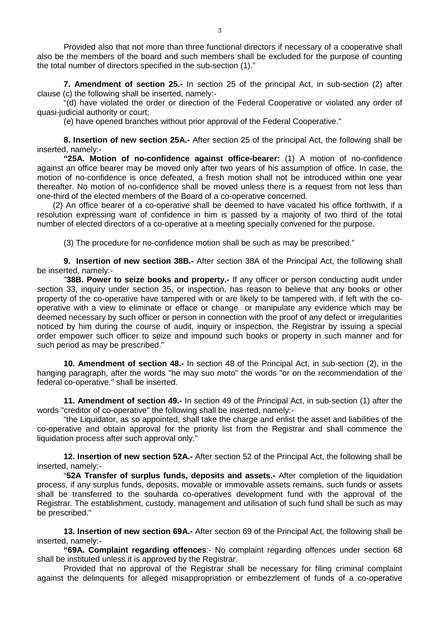Provided also that not more than three functional directors if necessary of a cooperative shall also be the members of the board and such members shall be excluded for the purpose of counting the total number of directors specified in the sub-section (1)."

**7. Amendment of section 25.-** In section 25 of the principal Act, in sub-section (2) after clause (c) the following shall be inserted, namely:-

"(d) have violated the order or direction of the Federal Cooperative or violated any order of quasi-judicial authority or court;

(e) have opened branches without prior approval of the Federal Cooperative."

**8. Insertion of new section 25A.-** After section 25 of the principal Act, the following shall be inserted, namely:-

**"25A. Motion of no-confidence against office-bearer:** (1) A motion of no-confidence against an office bearer may be moved only after two years of his assumption of office. In case, the motion of no-confidence is once defeated, a fresh motion shall not be introduced within one year thereafter. No motion of no-confidence shall be moved unless there is a request from not less than one-third of the elected members of the Board of a co-operative concerned.

(2) An office bearer of a co-operative shall be deemed to have vacated his office forthwith, if a resolution expressing want of confidence in him is passed by a majority of two third of the total number of elected directors of a co-operative at a meeting specially convened for the purpose.

(3) The procedure for no-confidence motion shall be such as may be prescribed."

**9. Insertion of new section 38B.-** After section 38A of the Principal Act, the following shall be inserted, namely:-

"**38B. Power to seize books and property.-** If any officer or person conducting audit under section 33, inquiry under section 35, or inspection, has reason to believe that any books or other property of the co-operative have tampered with or are likely to be tampered with, if left with the cooperative with a view to eliminate or efface or change or manipulate any evidence which may be deemed necessary by such officer or person in connection with the proof of any defect or irregularities noticed by him during the course of audit, inquiry or inspection, the Registrar by issuing a special order empower such officer to seize and impound such books or property in such manner and for such period as may be prescribed."

**10. Amendment of section 48.-** In section 48 of the Principal Act, in sub-section (2), in the hanging paragraph, after the words "he may suo moto" the words "or on the recommendation of the federal co-operative." shall be inserted.

**11. Amendment of section 49.-** In section 49 of the Principal Act, in sub-section (1) after the words "creditor of co-operative" the following shall be inserted, namely:-

"the Liquidator, as so appointed, shall take the charge and enlist the asset and liabilities of the co-operative and obtain approval for the priority list from the Registrar and shall commence the liquidation process after such approval only."

**12. Insertion of new section 52A.-** After section 52 of the Principal Act, the following shall be inserted, namely:-

"**52A Transfer of surplus funds, deposits and assets.-** After completion of the liquidation process, if any surplus funds, deposits, movable or immovable assets remains, such funds or assets shall be transferred to the souharda co-operatives development fund with the approval of the Registrar. The establishment, custody, management and utilisation of such fund shall be such as may be prescribed."

**13. Insertion of new section 69A.-** After section 69 of the Principal Act, the following shall be inserted, namely:-

**"69A. Complaint regarding offences**:- No complaint regarding offences under section 68 shall be instituted unless it is approved by the Registrar.

Provided that no approval of the Registrar shall be necessary for filing criminal complaint against the delinquents for alleged misappropriation or embezzlement of funds of a co-operative